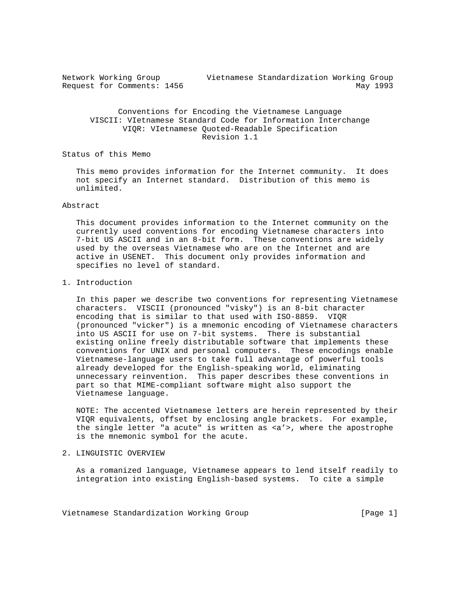| Network Working Group      |  | Vietnamese Standardization Working Group |          |
|----------------------------|--|------------------------------------------|----------|
| Request for Comments: 1456 |  |                                          | May 1993 |

 Conventions for Encoding the Vietnamese Language VISCII: VIetnamese Standard Code for Information Interchange VIQR: VIetnamese Quoted-Readable Specification Revision 1.1

Status of this Memo

 This memo provides information for the Internet community. It does not specify an Internet standard. Distribution of this memo is unlimited.

#### Abstract

 This document provides information to the Internet community on the currently used conventions for encoding Vietnamese characters into 7-bit US ASCII and in an 8-bit form. These conventions are widely used by the overseas Vietnamese who are on the Internet and are active in USENET. This document only provides information and specifies no level of standard.

# 1. Introduction

 In this paper we describe two conventions for representing Vietnamese characters. VISCII (pronounced "visky") is an 8-bit character encoding that is similar to that used with ISO-8859. VIQR (pronounced "vicker") is a mnemonic encoding of Vietnamese characters into US ASCII for use on 7-bit systems. There is substantial existing online freely distributable software that implements these conventions for UNIX and personal computers. These encodings enable Vietnamese-language users to take full advantage of powerful tools already developed for the English-speaking world, eliminating unnecessary reinvention. This paper describes these conventions in part so that MIME-compliant software might also support the Vietnamese language.

 NOTE: The accented Vietnamese letters are herein represented by their VIQR equivalents, offset by enclosing angle brackets. For example, the single letter "a acute" is written as <a'>, where the apostrophe is the mnemonic symbol for the acute.

## 2. LINGUISTIC OVERVIEW

 As a romanized language, Vietnamese appears to lend itself readily to integration into existing English-based systems. To cite a simple

Vietnamese Standardization Working Group [Page 1]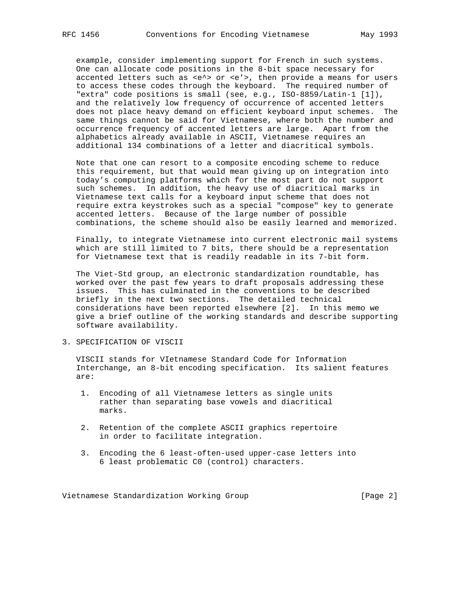example, consider implementing support for French in such systems. One can allocate code positions in the 8-bit space necessary for accented letters such as <e^> or <e'>, then provide a means for users to access these codes through the keyboard. The required number of "extra" code positions is small (see, e.g., ISO-8859/Latin-1 [1]), and the relatively low frequency of occurrence of accented letters does not place heavy demand on efficient keyboard input schemes. The same things cannot be said for Vietnamese, where both the number and occurrence frequency of accented letters are large. Apart from the alphabetics already available in ASCII, Vietnamese requires an additional 134 combinations of a letter and diacritical symbols.

 Note that one can resort to a composite encoding scheme to reduce this requirement, but that would mean giving up on integration into today's computing platforms which for the most part do not support such schemes. In addition, the heavy use of diacritical marks in Vietnamese text calls for a keyboard input scheme that does not require extra keystrokes such as a special "compose" key to generate accented letters. Because of the large number of possible combinations, the scheme should also be easily learned and memorized.

 Finally, to integrate Vietnamese into current electronic mail systems which are still limited to 7 bits, there should be a representation for Vietnamese text that is readily readable in its 7-bit form.

 The Viet-Std group, an electronic standardization roundtable, has worked over the past few years to draft proposals addressing these issues. This has culminated in the conventions to be described briefly in the next two sections. The detailed technical considerations have been reported elsewhere [2]. In this memo we give a brief outline of the working standards and describe supporting software availability.

3. SPECIFICATION OF VISCII

 VISCII stands for VIetnamese Standard Code for Information Interchange, an 8-bit encoding specification. Its salient features are:

- 1. Encoding of all Vietnamese letters as single units rather than separating base vowels and diacritical marks.
- 2. Retention of the complete ASCII graphics repertoire in order to facilitate integration.
- 3. Encoding the 6 least-often-used upper-case letters into 6 least problematic C0 (control) characters.

Vietnamese Standardization Working Group [Page 2]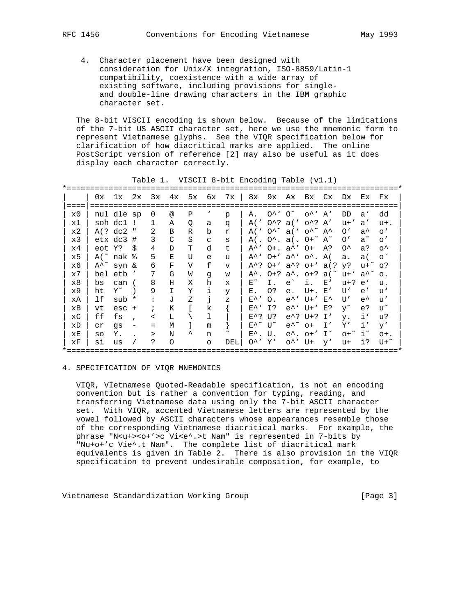- - 4. Character placement have been designed with consideration for Unix/X integration, ISO-8859/Latin-1 compatibility, coexistence with a wide array of existing software, including provisions for single and double-line drawing characters in the IBM graphic character set.

 The 8-bit VISCII encoding is shown below. Because of the limitations of the 7-bit US ASCII character set, here we use the mnemonic form to represent Vietnamese glyphs. See the VIQR specification below for clarification of how diacritical marks are applied. The online PostScript version of reference [2] may also be useful as it does display each character correctly.

|    | 0x             | 1x 2x                      |              | 3x             |            |   |              | 4x 5x 6x 7x 8x |                            |                |                                                                                 |                                              |    | 9x Ax Bx Cx Dx Ex                      |               | Fx              |
|----|----------------|----------------------------|--------------|----------------|------------|---|--------------|----------------|----------------------------|----------------|---------------------------------------------------------------------------------|----------------------------------------------|----|----------------------------------------|---------------|-----------------|
|    |                |                            |              |                |            |   |              |                |                            |                |                                                                                 |                                              |    |                                        |               |                 |
| x0 |                | nul dle sp                 |              | 0              | $^{\circ}$ | Ρ | ٦            | p              | Α.                         |                | $0^{\lambda}$ ' $0^{\sim}$                                                      | $O^{\wedge}$ A'                              |    | DD.                                    | a'            | dd              |
| x1 |                | soh dc1 !                  |              | 1              | Α          | Q | a            | q              | A ('                       |                | $0^2$ al' $0^2$ A'                                                              |                                              |    | $u+$ '                                 | a'            | $u+$ .          |
| x2 |                | A(? dc2)                   | $\mathbf{u}$ | 2              | B          | R | b            | r              | A(                         |                | $0^{\lambda^{\sim}}$ a(' $0^{\lambda^{\sim}}$ A <sup><math>\lambda</math></sup> |                                              |    | O'                                     | $a^{\wedge}$  | $^{\circ}$      |
| x3 |                | $etx dc3$ #                |              | 3              | C          | S | $\mathsf{C}$ | S              |                            |                | $A( . 0^{\wedge} . a( . 0 + \gamma A^{\wedge})$                                 |                                              |    | $\mathcal{O}'$                         | $a^{\sim}$    | $\circ$ '       |
| x4 | eot Y?         |                            | - \$         | 4              | D          | Т | d            | t              |                            |                | $A^{\wedge}$ $0+$ . $a^{\wedge}$ $0+$                                           |                                              | A? | $0^{\lambda}$                          | a?            | $\circ^{\star}$ |
| x5 |                | A( $\degree$ nak $\degree$ |              | 5              | E          | U | e            | u              | A^`                        |                | $0+'$ a <sup><math>\wedge</math></sup> o <sup><math>\wedge</math></sup> . A(    |                                              |    | a.                                     | a (           | $\circ$ ~       |
| х6 | $A^{\wedge}$ ~ | syn &                      |              | 6              | F          | V | f            | $\mathbf{v}$   |                            |                | A <sup>2</sup> ? O <sup>+</sup> ' a <sup>2</sup> ? O <sup>+</sup> ' a(? y?      |                                              |    |                                        | u+~           | $\circ$ ?       |
| x7 |                | bel etb '                  |              | 7              | G          | W | q            | W              |                            |                |                                                                                 |                                              |    | $A^{\wedge}$ . O+? a^. o+? a(~ u+' a^~ |               | $\circ$ .       |
| x8 | bs             | can (                      |              | 8              | Н          | X | h            | $\mathbf x$    | $E^{\sim}$                 | Ι.             | $e^{\sim}$                                                                      | i.                                           | E' | u+?                                    | e'            | u.              |
| x9 | ht             | $Y^{\sim}$                 |              | 9              | T          | Y | i            | y              | Е.                         | O <sub>2</sub> | e.                                                                              | $U^+$ . $E'$                                 |    | U١                                     | e'            | u,              |
| хA | lf             | $sub *$                    |              | $\ddot{\cdot}$ | J          | Ζ | i,           | $\mathbf{z}$   | $E^{\wedge}$ '             | $\Omega$ .     |                                                                                 | $e^{\lambda}$ U+' $E^{\lambda}$              |    | U'                                     | $e^{\lambda}$ | u'              |
| хB | vt             | esc                        | $+$          |                | K          |   | k            |                | $E^{\wedge}$               | I?             |                                                                                 | $e^{\lambda}$ , U+,                          | E? | $y^{\sim}$                             | e?            | u~              |
| хC | ff             | fs                         |              | $\,<\,$        | L          |   | 1            |                | $E^{\wedge}$ ?             | U?             |                                                                                 | $e^2$ ? U+? I'                               |    | у.                                     | i'            | u?              |
| хD | Сr             | qs                         |              | $=$            | M          |   | m            |                | $E^{\wedge \sim}$ U $\sim$ |                |                                                                                 | $e^{\lambda^{\sim}}$ o+ I'                   |    | Υ′                                     | i'            | y'              |
| хE | SO             | Υ.                         |              | >              | N          | ᄉ | n            |                | $E^{\wedge}$ . U.          |                |                                                                                 | $e^{\lambda}$ . $o+^{\prime}$ I <sup>~</sup> |    | $0+$ $i$                               |               | $O+$ .          |
| хF | si             | us                         |              | ?              | $\circ$    |   | $\circ$      | DEL            | $O^{\wedge}$ $Y$           |                |                                                                                 | o^' U+                                       | V' | u+                                     | i?            | $U + \tilde{}$  |
|    |                |                            |              |                |            |   |              |                |                            |                |                                                                                 |                                              |    |                                        |               |                 |

Table 1. VISCII 8-bit Encoding Table (v1.1)

#### 4. SPECIFICATION OF VIQR MNEMONICS

 VIQR, VIetnamese Quoted-Readable specification, is not an encoding convention but is rather a convention for typing, reading, and transferring Vietnamese data using only the 7-bit ASCII character set. With VIQR, accented Vietnamese letters are represented by the vowel followed by ASCII characters whose appearances resemble those of the corresponding Vietnamese diacritical marks. For example, the phrase "N<u+><o+'>c Vi<e^.>t Nam" is represented in 7-bits by "Nu+o+'c Vie^.t Nam". The complete list of diacritical mark equivalents is given in Table 2. There is also provision in the VIQR specification to prevent undesirable composition, for example, to

Vietnamese Standardization Working Group [Page 3]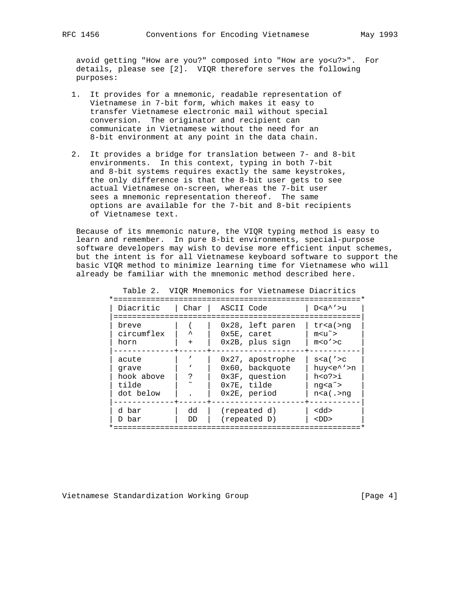avoid getting "How are you?" composed into "How are yo<u?>". For details, please see [2]. VIQR therefore serves the following purposes:

- 1. It provides for a mnemonic, readable representation of Vietnamese in 7-bit form, which makes it easy to transfer Vietnamese electronic mail without special conversion. The originator and recipient can communicate in Vietnamese without the need for an 8-bit environment at any point in the data chain.
- 2. It provides a bridge for translation between 7- and 8-bit environments. In this context, typing in both 7-bit and 8-bit systems requires exactly the same keystrokes, the only difference is that the 8-bit user gets to see actual Vietnamese on-screen, whereas the 7-bit user sees a mnemonic representation thereof. The same options are available for the 7-bit and 8-bit recipients of Vietnamese text.

 Because of its mnemonic nature, the VIQR typing method is easy to learn and remember. In pure 8-bit environments, special-purpose software developers may wish to devise more efficient input schemes, but the intent is for all Vietnamese keyboard software to support the basic VIQR method to minimize learning time for Vietnamese who will already be familiar with the mnemonic method described here.

|                                                    |          | Table 2. VIOR MNemonics for vietnamese biacritics                                                |                                                                                                                                                                   |
|----------------------------------------------------|----------|--------------------------------------------------------------------------------------------------|-------------------------------------------------------------------------------------------------------------------------------------------------------------------|
| Diacritic                                          | Char I   | ASCII Code                                                                                       | $D < a'$ '>u                                                                                                                                                      |
| breve<br>circumflex<br>horn                        | ᄉ<br>$+$ | 0x28, left paren<br>$0x5E$ , caret<br>0x2B, plus sign                                            | tr <sub>a</sub> (>nq)<br>$m < u^{\sim}$<br>m < o' > c                                                                                                             |
| acute<br>qrave<br>hook above<br>tilde<br>dot below |          | $0x27$ , apostrophe<br>0x60, backquote<br>$0x3F$ , question<br>$0x7E$ , tilde<br>$0x2E$ , period | $s$ < a ( $'$ > c<br>huy <e^'>n<br/>h &lt; o? &gt; i<br/><math>nq<a^{\sim}< math=""><br/><math>n &lt; a</math> (<math>\cdot</math>&gt;nq</a^{\sim}<></math></e^'> |
| d bar<br>D bar                                     | dd<br>DD | (repeated d)<br>(repeated D)                                                                     | <dd><br/><math>&lt;</math>DD<math>&gt;</math></dd>                                                                                                                |
|                                                    |          |                                                                                                  |                                                                                                                                                                   |

Table 2. VIQR Mnemonics for Vietnamese Diacritics

Vietnamese Standardization Working Group [Page 4]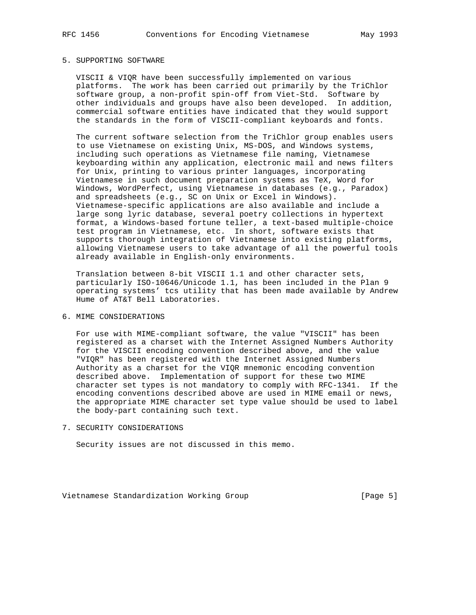## 5. SUPPORTING SOFTWARE

 VISCII & VIQR have been successfully implemented on various platforms. The work has been carried out primarily by the TriChlor software group, a non-profit spin-off from Viet-Std. Software by other individuals and groups have also been developed. In addition, commercial software entities have indicated that they would support the standards in the form of VISCII-compliant keyboards and fonts.

 The current software selection from the TriChlor group enables users to use Vietnamese on existing Unix, MS-DOS, and Windows systems, including such operations as Vietnamese file naming, Vietnamese keyboarding within any application, electronic mail and news filters for Unix, printing to various printer languages, incorporating Vietnamese in such document preparation systems as TeX, Word for Windows, WordPerfect, using Vietnamese in databases (e.g., Paradox) and spreadsheets (e.g., SC on Unix or Excel in Windows). Vietnamese-specific applications are also available and include a large song lyric database, several poetry collections in hypertext format, a Windows-based fortune teller, a text-based multiple-choice test program in Vietnamese, etc. In short, software exists that supports thorough integration of Vietnamese into existing platforms, allowing Vietnamese users to take advantage of all the powerful tools already available in English-only environments.

 Translation between 8-bit VISCII 1.1 and other character sets, particularly ISO-10646/Unicode 1.1, has been included in the Plan 9 operating systems' tcs utility that has been made available by Andrew Hume of AT&T Bell Laboratories.

# 6. MIME CONSIDERATIONS

 For use with MIME-compliant software, the value "VISCII" has been registered as a charset with the Internet Assigned Numbers Authority for the VISCII encoding convention described above, and the value "VIQR" has been registered with the Internet Assigned Numbers Authority as a charset for the VIQR mnemonic encoding convention described above. Implementation of support for these two MIME character set types is not mandatory to comply with RFC-1341. If the encoding conventions described above are used in MIME email or news, the appropriate MIME character set type value should be used to label the body-part containing such text.

7. SECURITY CONSIDERATIONS

Security issues are not discussed in this memo.

Vietnamese Standardization Working Group [Page 5]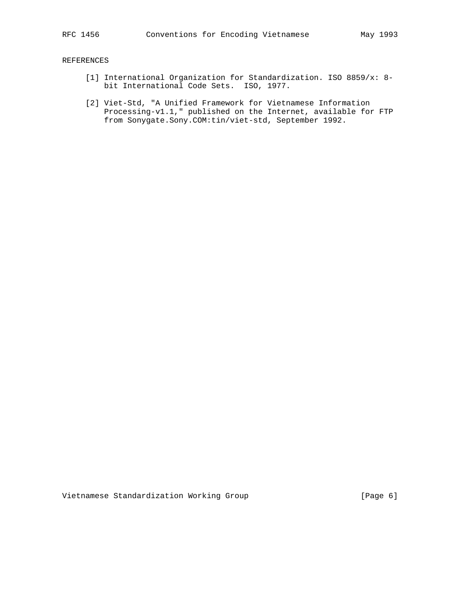# REFERENCES

- [1] International Organization for Standardization. ISO 8859/x: 8 bit International Code Sets. ISO, 1977.
- [2] Viet-Std, "A Unified Framework for Vietnamese Information Processing-v1.1," published on the Internet, available for FTP from Sonygate.Sony.COM:tin/viet-std, September 1992.

Vietnamese Standardization Working Group [Page 6]